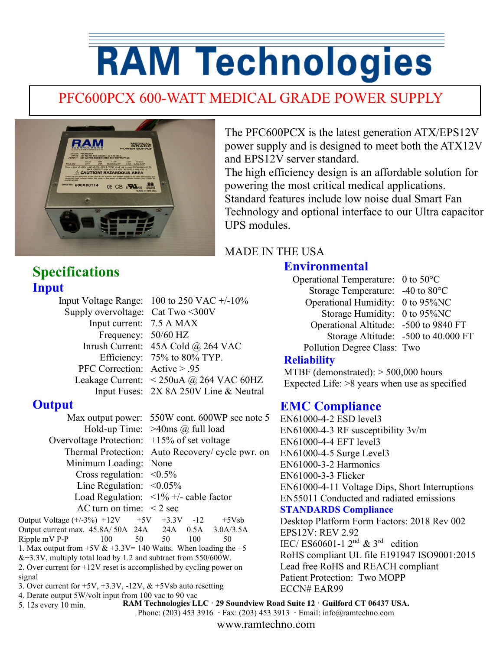# **RAM Technologies**

## PFC600PCX 600-WATT MEDICAL GRADE POWER SUPPLY



The PFC600PCX is the latest generation ATX/EPS12V power supply and is designed to meet both the ATX12V and EPS12V server standard.

The high efficiency design is an affordable solution for powering the most critical medical applications. Standard features include low noise dual Smart Fan Technology and optional interface to our Ultra capacitor UPS modules.

#### MADE IN THE USA

#### **Environmental**

**Input** Supply overvoltage: Cat Two <300V

**Specifications**

Input Voltage Range: 100 to 250 VAC +/-10% Input current: 7.5 A MAX Frequency: 50/60 HZ Inrush Current: 45A Cold @ 264 VAC Efficiency: 75% to 80% TYP. PFC Correction: Active > .95 Leakage Current: < 250uA @ 264 VAC 60HZ Input Fuses: 2X 8A 250V Line & Neutral

#### **Output**

Overvoltage Protection: +15% of set voltage Minimum Loading: None Cross regulation:  $\leq 0.5\%$ Line Regulation:  $\leq 0.05\%$ AC turn on time:  $\leq 2$  sec

 Max output power: 550W cont. 600WP see note 5 Hold-up Time: >40ms @ full load Thermal Protection: Auto Recovery/ cycle pwr. on Load Regulation:  $\langle 1\% + \rangle$ - cable factor

Output Voltage  $(+/-3%)$  +12V +5V +3.3V -12 +5Vsb Output current max. 45.8A/ 50A 24A 24A 0.5A 3.0A/3.5A Ripple mV P-P 100 50 50 100 50 1. Max output from  $+5V & 3.3V = 140$  Watts. When loading the  $+5$ &+3.3V, multiply total load by 1.2 and subtract from 550/600W. 2. Over current for +12V reset is accomplished by cycling power on signal

- 3. Over current for  $+5V$ ,  $+3.3V$ ,  $-12V$ ,  $&$   $+5V$ sb auto resetting
- 4. Derate output 5W/volt input from 100 vac to 90 vac **RAM Technologies LLC · 29 Soundview Road Suite 12 · Guilford CT 06437 USA.**

5. 12s every 10 min.

Operational Temperature: 0 to 50°C Storage Temperature: -40 to 80°C Operational Humidity: 0 to 95%NC Storage Humidity: 0 to 95%NC Operational Altitude: -500 to 9840 FT Storage Altitude: -500 to 40.000 FT Pollution Degree Class: Two

#### **Reliability**

MTBF (demonstrated): > 500,000 hours Expected Life: >8 years when use as specified

#### **EMC Compliance**

EN61000-4-2 ESD level3 EN61000-4-3 RF susceptibility 3v/m EN61000-4-4 EFT level3 EN61000-4-5 Surge Level3 EN61000-3-2 Harmonics EN61000-3-3 Flicker EN61000-4-11 Voltage Dips, Short Interruptions EN55011 Conducted and radiated emissions **STANDARDS Compliance** Desktop Platform Form Factors: 2018 Rev 002 EPS12V: REV 2.92 IEC/ ES60601-1  $2<sup>nd</sup>$  &  $3<sup>rd</sup>$  edition RoHS compliant UL file E191947 ISO9001:2015 Lead free RoHS and REACH compliant Patient Protection: Two MOPP ECCN# EAR99

Phone: (203) 453 3916 **·** Fax: (203) 453 3913 **·** Email: info@ramtechno.com www.ramtechno.com